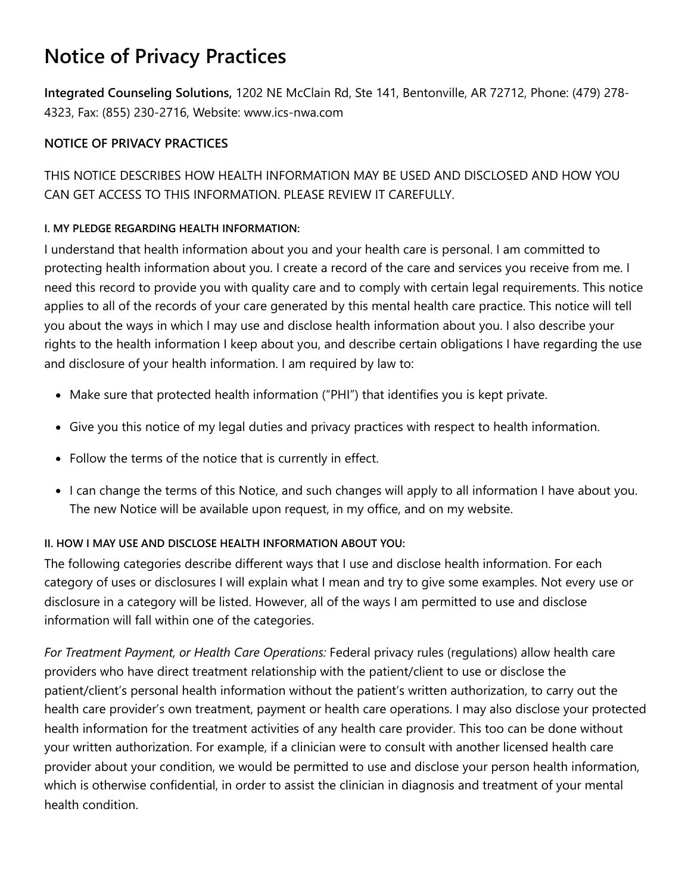# **Notice of Privacy Practices**

**Integrated Counseling Solutions,** 1202 NE McClain Rd, Ste 141, Bentonville, AR 72712, Phone: (479) 278- 4323, Fax: (855) 230-2716, Website: www.ics-nwa.com

## **NOTICE OF PRIVACY PRACTICES**

THIS NOTICE DESCRIBES HOW HEALTH INFORMATION MAY BE USED AND DISCLOSED AND HOW YOU CAN GET ACCESS TO THIS INFORMATION. PLEASE REVIEW IT CAREFULLY.

## **I. MY PLEDGE REGARDING HEALTH INFORMATION:**

I understand that health information about you and your health care is personal. I am committed to protecting health information about you. I create a record of the care and services you receive from me. I need this record to provide you with quality care and to comply with certain legal requirements. This notice applies to all of the records of your care generated by this mental health care practice. This notice will tell you about the ways in which I may use and disclose health information about you. I also describe your rights to the health information I keep about you, and describe certain obligations I have regarding the use and disclosure of your health information. I am required by law to:

- Make sure that protected health information ("PHI") that identifies you is kept private.
- Give you this notice of my legal duties and privacy practices with respect to health information.
- Follow the terms of the notice that is currently in effect.
- I can change the terms of this Notice, and such changes will apply to all information I have about you. The new Notice will be available upon request, in my office, and on my website.

## **II. HOW I MAY USE AND DISCLOSE HEALTH INFORMATION ABOUT YOU:**

The following categories describe different ways that I use and disclose health information. For each category of uses or disclosures I will explain what I mean and try to give some examples. Not every use or disclosure in a category will be listed. However, all of the ways I am permitted to use and disclose information will fall within one of the categories.

*For Treatment Payment, or Health Care Operations:* Federal privacy rules (regulations) allow health care providers who have direct treatment relationship with the patient/client to use or disclose the patient/client's personal health information without the patient's written authorization, to carry out the health care provider's own treatment, payment or health care operations. I may also disclose your protected health information for the treatment activities of any health care provider. This too can be done without your written authorization. For example, if a clinician were to consult with another licensed health care provider about your condition, we would be permitted to use and disclose your person health information, which is otherwise confidential, in order to assist the clinician in diagnosis and treatment of your mental health condition.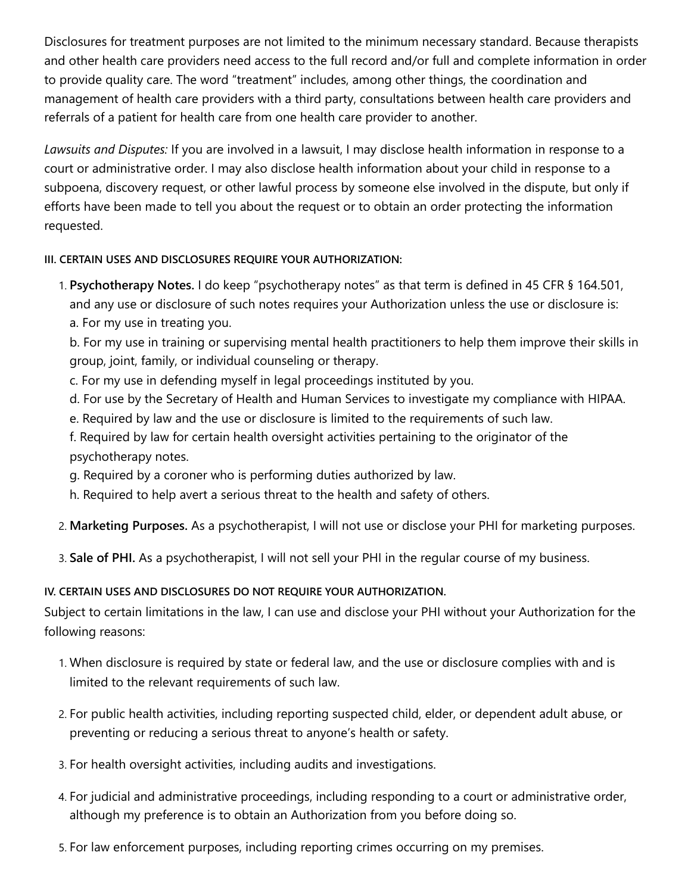Disclosures for treatment purposes are not limited to the minimum necessary standard. Because therapists and other health care providers need access to the full record and/or full and complete information in order to provide quality care. The word "treatment" includes, among other things, the coordination and management of health care providers with a third party, consultations between health care providers and referrals of a patient for health care from one health care provider to another.

*Lawsuits and Disputes:* If you are involved in a lawsuit, I may disclose health information in response to a court or administrative order. I may also disclose health information about your child in response to a subpoena, discovery request, or other lawful process by someone else involved in the dispute, but only if efforts have been made to tell you about the request or to obtain an order protecting the information requested.

### **III. CERTAIN USES AND DISCLOSURES REQUIRE YOUR AUTHORIZATION:**

1. **Psychotherapy Notes.** I do keep "psychotherapy notes" as that term is defined in 45 CFR § 164.501, and any use or disclosure of such notes requires your Authorization unless the use or disclosure is: a. For my use in treating you.

b. For my use in training or supervising mental health practitioners to help them improve their skills in group, joint, family, or individual counseling or therapy.

- c. For my use in defending myself in legal proceedings instituted by you.
- d. For use by the Secretary of Health and Human Services to investigate my compliance with HIPAA.
- e. Required by law and the use or disclosure is limited to the requirements of such law.
- f. Required by law for certain health oversight activities pertaining to the originator of the psychotherapy notes.
- g. Required by a coroner who is performing duties authorized by law.
- h. Required to help avert a serious threat to the health and safety of others.
- 2. **Marketing Purposes.** As a psychotherapist, I will not use or disclose your PHI for marketing purposes.
- 3. **Sale of PHI.** As a psychotherapist, I will not sell your PHI in the regular course of my business.

## **IV. CERTAIN USES AND DISCLOSURES DO NOT REQUIRE YOUR AUTHORIZATION.**

Subject to certain limitations in the law, I can use and disclose your PHI without your Authorization for the following reasons:

- 1. When disclosure is required by state or federal law, and the use or disclosure complies with and is limited to the relevant requirements of such law.
- 2. For public health activities, including reporting suspected child, elder, or dependent adult abuse, or preventing or reducing a serious threat to anyone's health or safety.
- 3. For health oversight activities, including audits and investigations.
- 4. For judicial and administrative proceedings, including responding to a court or administrative order, although my preference is to obtain an Authorization from you before doing so.
- 5. For law enforcement purposes, including reporting crimes occurring on my premises.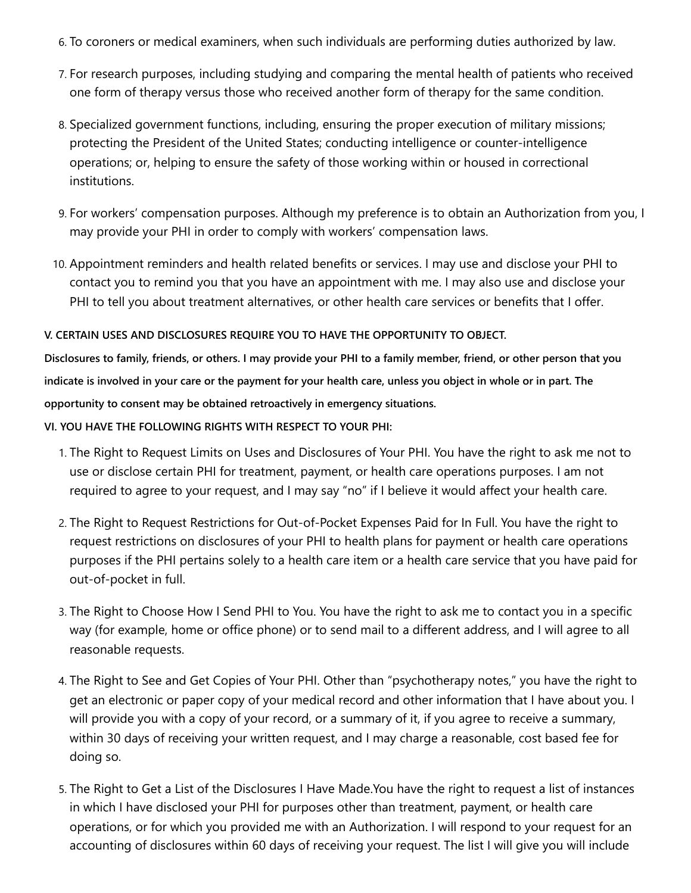- 6. To coroners or medical examiners, when such individuals are performing duties authorized by law.
- 7. For research purposes, including studying and comparing the mental health of patients who received one form of therapy versus those who received another form of therapy for the same condition.
- 8. Specialized government functions, including, ensuring the proper execution of military missions; protecting the President of the United States; conducting intelligence or counter-intelligence operations; or, helping to ensure the safety of those working within or housed in correctional institutions.
- 9. For workers' compensation purposes. Although my preference is to obtain an Authorization from you, I may provide your PHI in order to comply with workers' compensation laws.
- 10. Appointment reminders and health related benefits or services. I may use and disclose your PHI to contact you to remind you that you have an appointment with me. I may also use and disclose your PHI to tell you about treatment alternatives, or other health care services or benefits that I offer.

#### **V. CERTAIN USES AND DISCLOSURES REQUIRE YOU TO HAVE THE OPPORTUNITY TO OBJECT.**

**Disclosures to family, friends, or others. I may provide your PHI to a family member, friend, or other person that you indicate is involved in your care or the payment for your health care, unless you object in whole or in part. The opportunity to consent may be obtained retroactively in emergency situations.**

**VI. YOU HAVE THE FOLLOWING RIGHTS WITH RESPECT TO YOUR PHI:**

- 1. The Right to Request Limits on Uses and Disclosures of Your PHI. You have the right to ask me not to use or disclose certain PHI for treatment, payment, or health care operations purposes. I am not required to agree to your request, and I may say "no" if I believe it would affect your health care.
- 2. The Right to Request Restrictions for Out-of-Pocket Expenses Paid for In Full. You have the right to request restrictions on disclosures of your PHI to health plans for payment or health care operations purposes if the PHI pertains solely to a health care item or a health care service that you have paid for out-of-pocket in full.
- 3. The Right to Choose How I Send PHI to You. You have the right to ask me to contact you in a specific way (for example, home or office phone) or to send mail to a different address, and I will agree to all reasonable requests.
- 4. The Right to See and Get Copies of Your PHI. Other than "psychotherapy notes," you have the right to get an electronic or paper copy of your medical record and other information that I have about you. I will provide you with a copy of your record, or a summary of it, if you agree to receive a summary, within 30 days of receiving your written request, and I may charge a reasonable, cost based fee for doing so.
- 5. The Right to Get a List of the Disclosures I Have Made.You have the right to request a list of instances in which I have disclosed your PHI for purposes other than treatment, payment, or health care operations, or for which you provided me with an Authorization. I will respond to your request for an accounting of disclosures within 60 days of receiving your request. The list I will give you will include